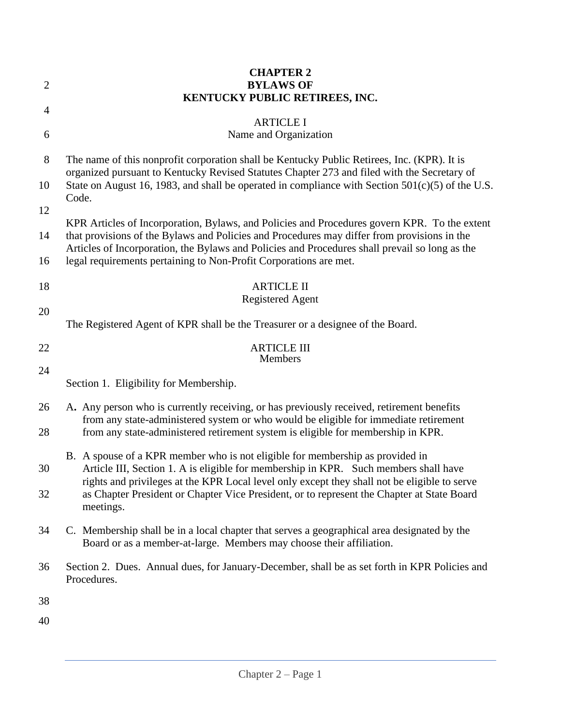|                | <b>CHAPTER 2</b>                                                                                                                                                                                                                                                      |  |  |  |  |
|----------------|-----------------------------------------------------------------------------------------------------------------------------------------------------------------------------------------------------------------------------------------------------------------------|--|--|--|--|
| $\overline{c}$ | <b>BYLAWS OF</b><br>KENTUCKY PUBLIC RETIREES, INC.                                                                                                                                                                                                                    |  |  |  |  |
| 4              |                                                                                                                                                                                                                                                                       |  |  |  |  |
| 6              | <b>ARTICLE I</b><br>Name and Organization                                                                                                                                                                                                                             |  |  |  |  |
| 8              | The name of this nonprofit corporation shall be Kentucky Public Retirees, Inc. (KPR). It is<br>organized pursuant to Kentucky Revised Statutes Chapter 273 and filed with the Secretary of                                                                            |  |  |  |  |
| 10             | State on August 16, 1983, and shall be operated in compliance with Section $501(c)(5)$ of the U.S.<br>Code.                                                                                                                                                           |  |  |  |  |
| 12             | KPR Articles of Incorporation, Bylaws, and Policies and Procedures govern KPR. To the extent                                                                                                                                                                          |  |  |  |  |
| 14             | that provisions of the Bylaws and Policies and Procedures may differ from provisions in the<br>Articles of Incorporation, the Bylaws and Policies and Procedures shall prevail so long as the                                                                         |  |  |  |  |
| 16             | legal requirements pertaining to Non-Profit Corporations are met.                                                                                                                                                                                                     |  |  |  |  |
| 18             | <b>ARTICLE II</b><br><b>Registered Agent</b>                                                                                                                                                                                                                          |  |  |  |  |
| 20             |                                                                                                                                                                                                                                                                       |  |  |  |  |
|                | The Registered Agent of KPR shall be the Treasurer or a designee of the Board.                                                                                                                                                                                        |  |  |  |  |
| 22<br>24       | <b>ARTICLE III</b><br><b>Members</b>                                                                                                                                                                                                                                  |  |  |  |  |
|                | Section 1. Eligibility for Membership.                                                                                                                                                                                                                                |  |  |  |  |
| 26<br>28       | A. Any person who is currently receiving, or has previously received, retirement benefits<br>from any state-administered system or who would be eligible for immediate retirement<br>from any state-administered retirement system is eligible for membership in KPR. |  |  |  |  |
|                |                                                                                                                                                                                                                                                                       |  |  |  |  |
| 30             | B. A spouse of a KPR member who is not eligible for membership as provided in<br>Article III, Section 1. A is eligible for membership in KPR. Such members shall have                                                                                                 |  |  |  |  |
| 32             | rights and privileges at the KPR Local level only except they shall not be eligible to serve<br>as Chapter President or Chapter Vice President, or to represent the Chapter at State Board<br>meetings.                                                               |  |  |  |  |
| 34             | C. Membership shall be in a local chapter that serves a geographical area designated by the<br>Board or as a member-at-large. Members may choose their affiliation.                                                                                                   |  |  |  |  |
| 36             | Section 2. Dues. Annual dues, for January-December, shall be as set forth in KPR Policies and<br>Procedures.                                                                                                                                                          |  |  |  |  |
| 38             |                                                                                                                                                                                                                                                                       |  |  |  |  |
| 40             |                                                                                                                                                                                                                                                                       |  |  |  |  |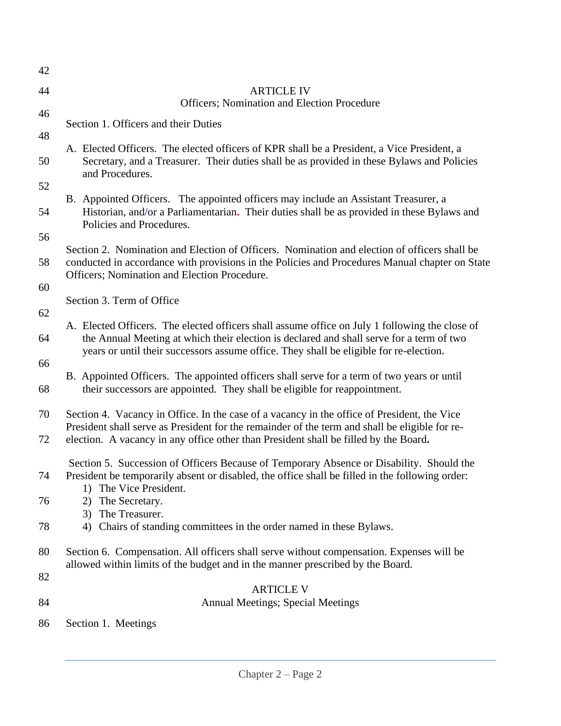| 42 |                                                                                                                                                                                                                                                                                      |  |  |
|----|--------------------------------------------------------------------------------------------------------------------------------------------------------------------------------------------------------------------------------------------------------------------------------------|--|--|
| 44 | <b>ARTICLE IV</b><br>Officers; Nomination and Election Procedure                                                                                                                                                                                                                     |  |  |
| 46 | Section 1. Officers and their Duties                                                                                                                                                                                                                                                 |  |  |
| 48 |                                                                                                                                                                                                                                                                                      |  |  |
| 50 | A. Elected Officers. The elected officers of KPR shall be a President, a Vice President, a<br>Secretary, and a Treasurer. Their duties shall be as provided in these Bylaws and Policies<br>and Procedures.                                                                          |  |  |
| 52 | B. Appointed Officers. The appointed officers may include an Assistant Treasurer, a                                                                                                                                                                                                  |  |  |
| 54 | Historian, and/or a Parliamentarian. Their duties shall be as provided in these Bylaws and<br>Policies and Procedures.                                                                                                                                                               |  |  |
| 56 | Section 2. Nomination and Election of Officers. Nomination and election of officers shall be                                                                                                                                                                                         |  |  |
| 58 | conducted in accordance with provisions in the Policies and Procedures Manual chapter on State<br>Officers; Nomination and Election Procedure.                                                                                                                                       |  |  |
| 60 |                                                                                                                                                                                                                                                                                      |  |  |
| 62 | Section 3. Term of Office                                                                                                                                                                                                                                                            |  |  |
| 64 | A. Elected Officers. The elected officers shall assume office on July 1 following the close of<br>the Annual Meeting at which their election is declared and shall serve for a term of two<br>years or until their successors assume office. They shall be eligible for re-election. |  |  |
| 66 |                                                                                                                                                                                                                                                                                      |  |  |
| 68 | B. Appointed Officers. The appointed officers shall serve for a term of two years or until<br>their successors are appointed. They shall be eligible for reappointment.                                                                                                              |  |  |
| 70 | Section 4. Vacancy in Office. In the case of a vacancy in the office of President, the Vice<br>President shall serve as President for the remainder of the term and shall be eligible for re-                                                                                        |  |  |
| 72 | election. A vacancy in any office other than President shall be filled by the Board.                                                                                                                                                                                                 |  |  |
| 74 | Section 5. Succession of Officers Because of Temporary Absence or Disability. Should the<br>President be temporarily absent or disabled, the office shall be filled in the following order:                                                                                          |  |  |
| 76 | The Vice President.<br>1)<br>The Secretary.<br>2)                                                                                                                                                                                                                                    |  |  |
|    | 3) The Treasurer.                                                                                                                                                                                                                                                                    |  |  |
| 78 | Chairs of standing committees in the order named in these Bylaws.<br>4)                                                                                                                                                                                                              |  |  |
| 80 | Section 6. Compensation. All officers shall serve without compensation. Expenses will be<br>allowed within limits of the budget and in the manner prescribed by the Board.                                                                                                           |  |  |
| 82 | <b>ARTICLE V</b>                                                                                                                                                                                                                                                                     |  |  |
| 84 | <b>Annual Meetings; Special Meetings</b>                                                                                                                                                                                                                                             |  |  |
| 86 | Section 1. Meetings                                                                                                                                                                                                                                                                  |  |  |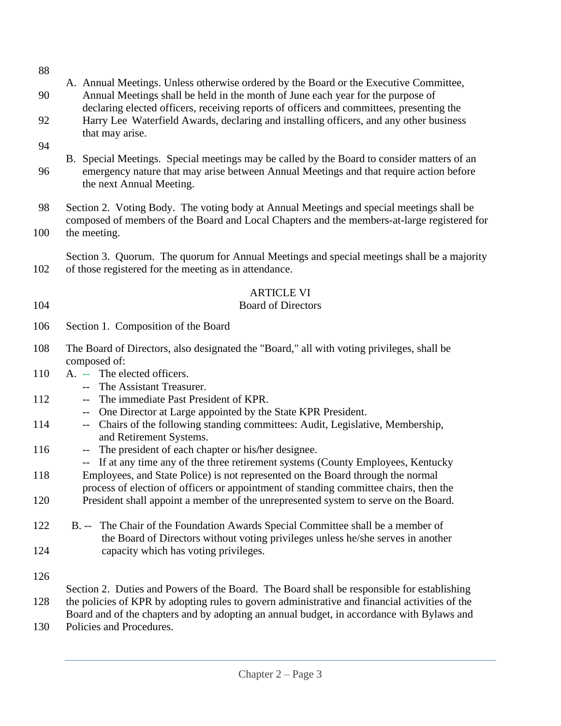| 88        |                                                                                                                                                                                                                                                                                           |  |  |
|-----------|-------------------------------------------------------------------------------------------------------------------------------------------------------------------------------------------------------------------------------------------------------------------------------------------|--|--|
| 90        | A. Annual Meetings. Unless otherwise ordered by the Board or the Executive Committee,<br>Annual Meetings shall be held in the month of June each year for the purpose of<br>declaring elected officers, receiving reports of officers and committees, presenting the                      |  |  |
| 92        | Harry Lee Waterfield Awards, declaring and installing officers, and any other business<br>that may arise.                                                                                                                                                                                 |  |  |
| 94<br>96  | B. Special Meetings. Special meetings may be called by the Board to consider matters of an<br>emergency nature that may arise between Annual Meetings and that require action before<br>the next Annual Meeting.                                                                          |  |  |
| 98<br>100 | Section 2. Voting Body. The voting body at Annual Meetings and special meetings shall be<br>composed of members of the Board and Local Chapters and the members-at-large registered for<br>the meeting.                                                                                   |  |  |
| 102       | Section 3. Quorum. The quorum for Annual Meetings and special meetings shall be a majority<br>of those registered for the meeting as in attendance.                                                                                                                                       |  |  |
| 104       | <b>ARTICLE VI</b><br><b>Board of Directors</b>                                                                                                                                                                                                                                            |  |  |
| 106       | Section 1. Composition of the Board                                                                                                                                                                                                                                                       |  |  |
| 108       | The Board of Directors, also designated the "Board," all with voting privileges, shall be<br>composed of:                                                                                                                                                                                 |  |  |
| 110       | A. -- The elected officers.<br>-- The Assistant Treasurer.                                                                                                                                                                                                                                |  |  |
| 112       | The immediate Past President of KPR.<br>$---$                                                                                                                                                                                                                                             |  |  |
| 114       | One Director at Large appointed by the State KPR President.<br>$---$<br>Chairs of the following standing committees: Audit, Legislative, Membership,<br>$\overline{\phantom{a}}$<br>and Retirement Systems.                                                                               |  |  |
| 116       | The president of each chapter or his/her designee.<br>$\overline{\phantom{a}}$                                                                                                                                                                                                            |  |  |
| 118       | If at any time any of the three retirement systems (County Employees, Kentucky<br>$- -$<br>Employees, and State Police) is not represented on the Board through the normal                                                                                                                |  |  |
| 120       | process of election of officers or appointment of standing committee chairs, then the<br>President shall appoint a member of the unrepresented system to serve on the Board.                                                                                                              |  |  |
| 122       | B. -- The Chair of the Foundation Awards Special Committee shall be a member of<br>the Board of Directors without voting privileges unless he/she serves in another                                                                                                                       |  |  |
| 124       | capacity which has voting privileges.                                                                                                                                                                                                                                                     |  |  |
| 126       |                                                                                                                                                                                                                                                                                           |  |  |
| 128       | Section 2. Duties and Powers of the Board. The Board shall be responsible for establishing<br>the policies of KPR by adopting rules to govern administrative and financial activities of the<br>Board and of the chapters and by adopting an annual budget, in accordance with Bylaws and |  |  |

130 Policies and Procedures.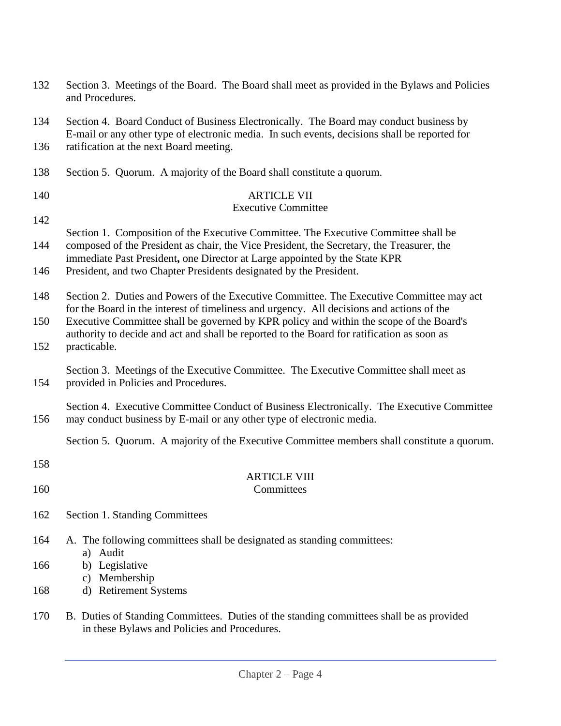| 132 | Section 3. Meetings of the Board. The Board shall meet as provided in the Bylaws and Policies<br>and Procedures.                                                                                                                                               |  |  |
|-----|----------------------------------------------------------------------------------------------------------------------------------------------------------------------------------------------------------------------------------------------------------------|--|--|
| 134 | Section 4. Board Conduct of Business Electronically. The Board may conduct business by<br>E-mail or any other type of electronic media. In such events, decisions shall be reported for                                                                        |  |  |
| 136 | ratification at the next Board meeting.                                                                                                                                                                                                                        |  |  |
| 138 | Section 5. Quorum. A majority of the Board shall constitute a quorum.                                                                                                                                                                                          |  |  |
| 140 | <b>ARTICLE VII</b><br><b>Executive Committee</b>                                                                                                                                                                                                               |  |  |
| 142 |                                                                                                                                                                                                                                                                |  |  |
| 144 | Section 1. Composition of the Executive Committee. The Executive Committee shall be<br>composed of the President as chair, the Vice President, the Secretary, the Treasurer, the<br>immediate Past President, one Director at Large appointed by the State KPR |  |  |
| 146 | President, and two Chapter Presidents designated by the President.                                                                                                                                                                                             |  |  |
| 148 | Section 2. Duties and Powers of the Executive Committee. The Executive Committee may act<br>for the Board in the interest of timeliness and urgency. All decisions and actions of the                                                                          |  |  |
| 150 | Executive Committee shall be governed by KPR policy and within the scope of the Board's<br>authority to decide and act and shall be reported to the Board for ratification as soon as                                                                          |  |  |
| 152 | practicable.                                                                                                                                                                                                                                                   |  |  |
| 154 | Section 3. Meetings of the Executive Committee. The Executive Committee shall meet as<br>provided in Policies and Procedures.                                                                                                                                  |  |  |
| 156 | Section 4. Executive Committee Conduct of Business Electronically. The Executive Committee<br>may conduct business by E-mail or any other type of electronic media.                                                                                            |  |  |
|     | Section 5. Quorum. A majority of the Executive Committee members shall constitute a quorum.                                                                                                                                                                    |  |  |
| 158 | <b>ARTICLE VIII</b>                                                                                                                                                                                                                                            |  |  |
| 160 | Committees                                                                                                                                                                                                                                                     |  |  |
| 162 | Section 1. Standing Committees                                                                                                                                                                                                                                 |  |  |
| 164 | A. The following committees shall be designated as standing committees:                                                                                                                                                                                        |  |  |
| 166 | a) Audit<br>b) Legislative                                                                                                                                                                                                                                     |  |  |
| 168 | c) Membership<br>d) Retirement Systems                                                                                                                                                                                                                         |  |  |
| 170 | B. Duties of Standing Committees. Duties of the standing committees shall be as provided<br>in these Bylaws and Policies and Procedures.                                                                                                                       |  |  |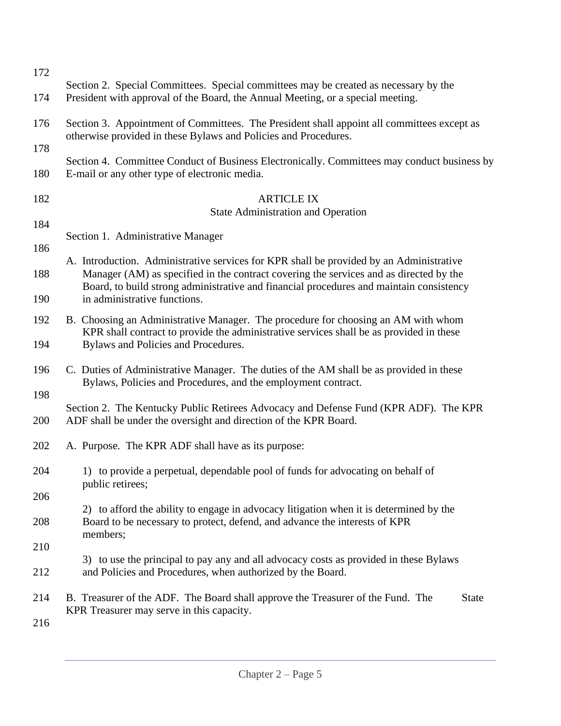| 172        |                                                                                                                                                                                   |  |  |  |
|------------|-----------------------------------------------------------------------------------------------------------------------------------------------------------------------------------|--|--|--|
| 174        | Section 2. Special Committees. Special committees may be created as necessary by the<br>President with approval of the Board, the Annual Meeting, or a special meeting.           |  |  |  |
| 176        | Section 3. Appointment of Committees. The President shall appoint all committees except as<br>otherwise provided in these Bylaws and Policies and Procedures.                     |  |  |  |
| 178        |                                                                                                                                                                                   |  |  |  |
| 180        | Section 4. Committee Conduct of Business Electronically. Committees may conduct business by<br>E-mail or any other type of electronic media.                                      |  |  |  |
| 182        | <b>ARTICLE IX</b><br><b>State Administration and Operation</b>                                                                                                                    |  |  |  |
| 184        |                                                                                                                                                                                   |  |  |  |
| 186        | Section 1. Administrative Manager                                                                                                                                                 |  |  |  |
|            | A. Introduction. Administrative services for KPR shall be provided by an Administrative                                                                                           |  |  |  |
| 188        | Manager (AM) as specified in the contract covering the services and as directed by the<br>Board, to build strong administrative and financial procedures and maintain consistency |  |  |  |
| 190        | in administrative functions.                                                                                                                                                      |  |  |  |
| 192        | B. Choosing an Administrative Manager. The procedure for choosing an AM with whom<br>KPR shall contract to provide the administrative services shall be as provided in these      |  |  |  |
| 194        | Bylaws and Policies and Procedures.                                                                                                                                               |  |  |  |
| 196        | C. Duties of Administrative Manager. The duties of the AM shall be as provided in these<br>Bylaws, Policies and Procedures, and the employment contract.                          |  |  |  |
| 198        |                                                                                                                                                                                   |  |  |  |
| 200        | Section 2. The Kentucky Public Retirees Advocacy and Defense Fund (KPR ADF). The KPR<br>ADF shall be under the oversight and direction of the KPR Board.                          |  |  |  |
| 202        | A. Purpose. The KPR ADF shall have as its purpose:                                                                                                                                |  |  |  |
| 204        | 1) to provide a perpetual, dependable pool of funds for advocating on behalf of<br>public retirees;                                                                               |  |  |  |
| 206        |                                                                                                                                                                                   |  |  |  |
| 208        | 2) to afford the ability to engage in advocacy litigation when it is determined by the<br>Board to be necessary to protect, defend, and advance the interests of KPR              |  |  |  |
|            | members;                                                                                                                                                                          |  |  |  |
| 210<br>212 | 3) to use the principal to pay any and all advocacy costs as provided in these Bylaws<br>and Policies and Procedures, when authorized by the Board.                               |  |  |  |
|            |                                                                                                                                                                                   |  |  |  |
| 214        | B. Treasurer of the ADF. The Board shall approve the Treasurer of the Fund. The<br><b>State</b><br>KPR Treasurer may serve in this capacity.                                      |  |  |  |
| 216        |                                                                                                                                                                                   |  |  |  |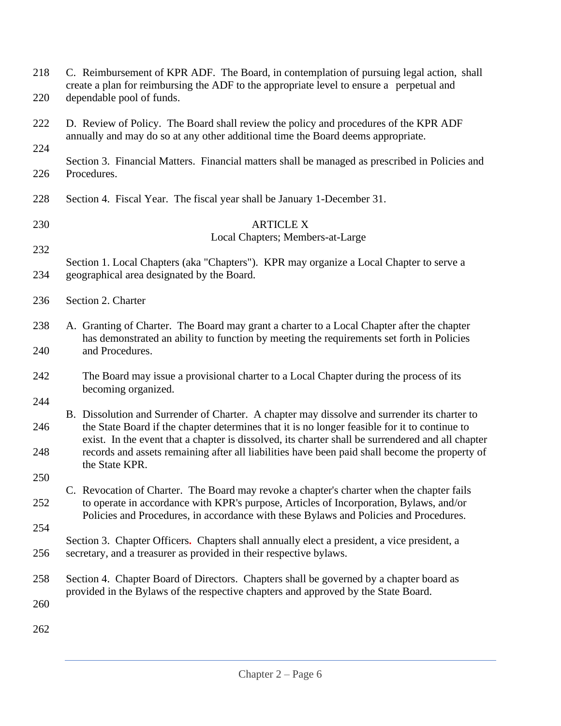| 218<br>220 | C. Reimbursement of KPR ADF. The Board, in contemplation of pursuing legal action, shall<br>create a plan for reimbursing the ADF to the appropriate level to ensure a perpetual and<br>dependable pool of funds.                                                            |  |  |
|------------|------------------------------------------------------------------------------------------------------------------------------------------------------------------------------------------------------------------------------------------------------------------------------|--|--|
| 222        | D. Review of Policy. The Board shall review the policy and procedures of the KPR ADF<br>annually and may do so at any other additional time the Board deems appropriate.                                                                                                     |  |  |
| 224        |                                                                                                                                                                                                                                                                              |  |  |
| 226        | Section 3. Financial Matters. Financial matters shall be managed as prescribed in Policies and<br>Procedures.                                                                                                                                                                |  |  |
| 228        | Section 4. Fiscal Year. The fiscal year shall be January 1-December 31.                                                                                                                                                                                                      |  |  |
| 230        | <b>ARTICLE X</b>                                                                                                                                                                                                                                                             |  |  |
|            | Local Chapters; Members-at-Large                                                                                                                                                                                                                                             |  |  |
| 232        | Section 1. Local Chapters (aka "Chapters"). KPR may organize a Local Chapter to serve a                                                                                                                                                                                      |  |  |
| 234        | geographical area designated by the Board.                                                                                                                                                                                                                                   |  |  |
| 236        | Section 2. Charter                                                                                                                                                                                                                                                           |  |  |
| 238        | A. Granting of Charter. The Board may grant a charter to a Local Chapter after the chapter                                                                                                                                                                                   |  |  |
| 240        | has demonstrated an ability to function by meeting the requirements set forth in Policies<br>and Procedures.                                                                                                                                                                 |  |  |
| 242        | The Board may issue a provisional charter to a Local Chapter during the process of its<br>becoming organized.                                                                                                                                                                |  |  |
| 244        | B. Dissolution and Surrender of Charter. A chapter may dissolve and surrender its charter to                                                                                                                                                                                 |  |  |
| 246        | the State Board if the chapter determines that it is no longer feasible for it to continue to<br>exist. In the event that a chapter is dissolved, its charter shall be surrendered and all chapter                                                                           |  |  |
| 248        | records and assets remaining after all liabilities have been paid shall become the property of<br>the State KPR.                                                                                                                                                             |  |  |
| 250        |                                                                                                                                                                                                                                                                              |  |  |
| 252        | C. Revocation of Charter. The Board may revoke a chapter's charter when the chapter fails<br>to operate in accordance with KPR's purpose, Articles of Incorporation, Bylaws, and/or<br>Policies and Procedures, in accordance with these Bylaws and Policies and Procedures. |  |  |
| 254        |                                                                                                                                                                                                                                                                              |  |  |
| 256        | Section 3. Chapter Officers. Chapters shall annually elect a president, a vice president, a<br>secretary, and a treasurer as provided in their respective bylaws.                                                                                                            |  |  |
| 258        | Section 4. Chapter Board of Directors. Chapters shall be governed by a chapter board as                                                                                                                                                                                      |  |  |
| 260        | provided in the Bylaws of the respective chapters and approved by the State Board.                                                                                                                                                                                           |  |  |
| 262        |                                                                                                                                                                                                                                                                              |  |  |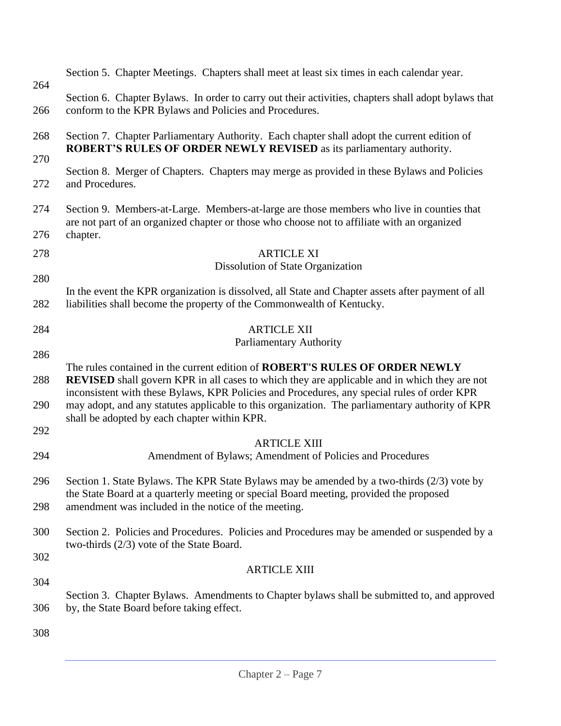|            | Section 5. Chapter Meetings. Chapters shall meet at least six times in each calendar year.                                                                                                                                                                                                                                                                                                                                           |  |  |  |
|------------|--------------------------------------------------------------------------------------------------------------------------------------------------------------------------------------------------------------------------------------------------------------------------------------------------------------------------------------------------------------------------------------------------------------------------------------|--|--|--|
| 264<br>266 | Section 6. Chapter Bylaws. In order to carry out their activities, chapters shall adopt bylaws that<br>conform to the KPR Bylaws and Policies and Procedures.                                                                                                                                                                                                                                                                        |  |  |  |
| 268        | Section 7. Chapter Parliamentary Authority. Each chapter shall adopt the current edition of<br><b>ROBERT'S RULES OF ORDER NEWLY REVISED</b> as its parliamentary authority.                                                                                                                                                                                                                                                          |  |  |  |
| 270        |                                                                                                                                                                                                                                                                                                                                                                                                                                      |  |  |  |
| 272        | Section 8. Merger of Chapters. Chapters may merge as provided in these Bylaws and Policies<br>and Procedures.                                                                                                                                                                                                                                                                                                                        |  |  |  |
| 274        | Section 9. Members-at-Large. Members-at-large are those members who live in counties that<br>are not part of an organized chapter or those who choose not to affiliate with an organized                                                                                                                                                                                                                                             |  |  |  |
| 276        | chapter.                                                                                                                                                                                                                                                                                                                                                                                                                             |  |  |  |
| 278        | <b>ARTICLE XI</b>                                                                                                                                                                                                                                                                                                                                                                                                                    |  |  |  |
|            | Dissolution of State Organization                                                                                                                                                                                                                                                                                                                                                                                                    |  |  |  |
| 280        | In the event the KPR organization is dissolved, all State and Chapter assets after payment of all                                                                                                                                                                                                                                                                                                                                    |  |  |  |
| 282        | liabilities shall become the property of the Commonwealth of Kentucky.                                                                                                                                                                                                                                                                                                                                                               |  |  |  |
| 284        | <b>ARTICLE XII</b>                                                                                                                                                                                                                                                                                                                                                                                                                   |  |  |  |
| 286        | <b>Parliamentary Authority</b>                                                                                                                                                                                                                                                                                                                                                                                                       |  |  |  |
| 288        | The rules contained in the current edition of ROBERT'S RULES OF ORDER NEWLY<br><b>REVISED</b> shall govern KPR in all cases to which they are applicable and in which they are not<br>inconsistent with these Bylaws, KPR Policies and Procedures, any special rules of order KPR<br>may adopt, and any statutes applicable to this organization. The parliamentary authority of KPR<br>shall be adopted by each chapter within KPR. |  |  |  |
| 290        |                                                                                                                                                                                                                                                                                                                                                                                                                                      |  |  |  |
| 292        |                                                                                                                                                                                                                                                                                                                                                                                                                                      |  |  |  |
| 294        | <b>ARTICLE XIII</b><br>Amendment of Bylaws; Amendment of Policies and Procedures                                                                                                                                                                                                                                                                                                                                                     |  |  |  |
| 296        | Section 1. State Bylaws. The KPR State Bylaws may be amended by a two-thirds (2/3) vote by<br>the State Board at a quarterly meeting or special Board meeting, provided the proposed                                                                                                                                                                                                                                                 |  |  |  |
| 298        | amendment was included in the notice of the meeting.                                                                                                                                                                                                                                                                                                                                                                                 |  |  |  |
| 300        | Section 2. Policies and Procedures. Policies and Procedures may be amended or suspended by a<br>two-thirds $(2/3)$ vote of the State Board.                                                                                                                                                                                                                                                                                          |  |  |  |
| 302        |                                                                                                                                                                                                                                                                                                                                                                                                                                      |  |  |  |
| 304        | <b>ARTICLE XIII</b>                                                                                                                                                                                                                                                                                                                                                                                                                  |  |  |  |
|            | Section 3. Chapter Bylaws. Amendments to Chapter bylaws shall be submitted to, and approved                                                                                                                                                                                                                                                                                                                                          |  |  |  |
| 306        | by, the State Board before taking effect.                                                                                                                                                                                                                                                                                                                                                                                            |  |  |  |
| 308        |                                                                                                                                                                                                                                                                                                                                                                                                                                      |  |  |  |
|            |                                                                                                                                                                                                                                                                                                                                                                                                                                      |  |  |  |